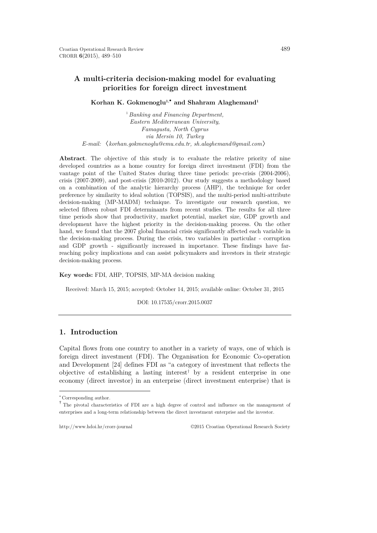# **A multi-criteria decision-making model for evaluating priorities for foreign direct investment**

## **Korhan K. Gokmenoglu1,**[∗](#page-0-0) **and Shahram Alaghemand1**

<sup>1</sup>*Banking and Financing Department, Eastern Mediterranean University, Famagusta, North Cyprus via Mersin 10, Turkey E-mail:* 〈*korhan.gokmenoglu@emu.edu.tr, sh.alaghemand@gmail.com*〉

**Abstract**. The objective of this study is to evaluate the relative priority of nine developed countries as a home country for foreign direct investment (FDI) from the vantage point of the United States during three time periods: pre-crisis (2004-2006), crisis (2007-2009), and post-crisis (2010-2012). Our study suggests a methodology based on a combination of the analytic hierarchy process (AHP), the technique for order preference by similarity to ideal solution (TOPSIS), and the multi-period multi-attribute decision-making (MP-MADM) technique. To investigate our research question, we selected fifteen robust FDI determinants from recent studies. The results for all three time periods show that productivity, market potential, market size, GDP growth and development have the highest priority in the decision-making process. On the other hand, we found that the 2007 global financial crisis significantly affected each variable in the decision-making process. During the crisis, two variables in particular - corruption and GDP growth - significantly increased in importance. These findings have farreaching policy implications and can assist policymakers and investors in their strategic decision-making process.

**Key words:** FDI, AHP, TOPSIS, MP-MA decision making

Received: March 15, 2015; accepted: October 14, 2015; available online: October 31, 2015

DOI: 10.17535/crorr.2015.0037

## **1. Introduction**

Capital flows from one country to another in a variety of ways, one of which is foreign direct investment (FDI). The Organisation for Economic Co-operation and Development [24] defines FDI as "a category of investment that reflects the objective of establishing a lasting interest<sup>†</sup> by a resident enterprise in one economy (direct investor) in an enterprise (direct investment enterprise) that is

 $\overline{a}$ 

<span id="page-0-0"></span><sup>∗</sup> Corresponding author.

<span id="page-0-1"></span><sup>†</sup> The pivotal characteristics of FDI are a high degree of control and influence on the management of enterprises and a long-term relationship between the direct investment enterprise and the investor.

http://www.hdoi.hr/crorr-journal ©2015 Croatian Operational Research Society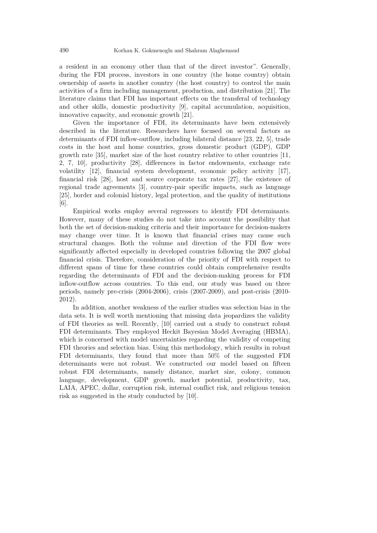a resident in an economy other than that of the direct investor". Generally, during the FDI process, investors in one country (the home country) obtain ownership of assets in another country (the host country) to control the main activities of a firm including management, production, and distribution [21]. The literature claims that FDI has important effects on the transferal of technology and other skills, domestic productivity [9], capital accumulation, acquisition, innovative capacity, and economic growth [21].

Given the importance of FDI, its determinants have been extensively described in the literature. Researchers have focused on several factors as determinants of FDI inflow-outflow, including bilateral distance [23, 22, 5], trade costs in the host and home countries, gross domestic product (GDP), GDP growth rate [35], market size of the host country relative to other countries [11, 2, 7, 10], productivity [28], differences in factor endowments, exchange rate volatility [12], financial system development, economic policy activity [17], financial risk [28], host and source corporate tax rates [27], the existence of regional trade agreements [3], country-pair specific impacts, such as language [25], border and colonial history, legal protection, and the quality of institutions [6].

Empirical works employ several regressors to identify FDI determinants. However, many of these studies do not take into account the possibility that both the set of decision-making criteria and their importance for decision-makers may change over time. It is known that financial crises may cause such structural changes. Both the volume and direction of the FDI flow were significantly affected especially in developed countries following the 2007 global financial crisis. Therefore, consideration of the priority of FDI with respect to different spans of time for these countries could obtain comprehensive results regarding the determinants of FDI and the decision-making process for FDI inflow-outflow across countries. To this end, our study was based on three periods, namely pre-crisis (2004-2006), crisis (2007-2009), and post-crisis (2010- 2012).

In addition, another weakness of the earlier studies was selection bias in the data sets. It is well worth mentioning that missing data jeopardizes the validity of FDI theories as well. Recently, [10] carried out a study to construct robust FDI determinants. They employed Heckit Bayesian Model Averaging (HBMA), which is concerned with model uncertainties regarding the validity of competing FDI theories and selection bias. Using this methodology, which results in robust FDI determinants, they found that more than 50% of the suggested FDI determinants were not robust. We constructed our model based on fifteen robust FDI determinants, namely distance, market size, colony, common language, development, GDP growth, market potential, productivity, tax, LAIA, APEC, dollar, corruption risk, internal conflict risk, and religious tension risk as suggested in the study conducted by [10].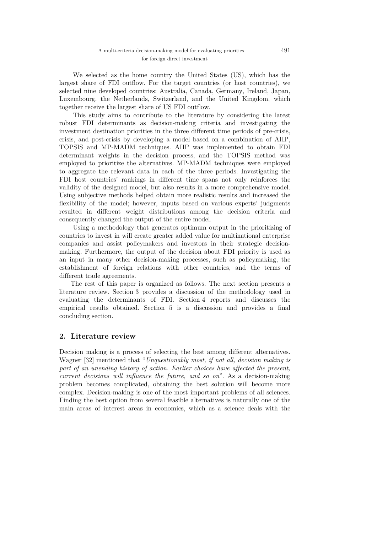We selected as the home country the United States (US), which has the largest share of FDI outflow. For the target countries (or host countries), we selected nine developed countries: Australia, Canada, Germany, Ireland, Japan, Luxembourg, the Netherlands, Switzerland, and the United Kingdom, which together receive the largest share of US FDI outflow.

This study aims to contribute to the literature by considering the latest robust FDI determinants as decision-making criteria and investigating the investment destination priorities in the three different time periods of pre-crisis, crisis, and post-crisis by developing a model based on a combination of AHP, TOPSIS and MP-MADM techniques. AHP was implemented to obtain FDI determinant weights in the decision process, and the TOPSIS method was employed to prioritize the alternatives. MP-MADM techniques were employed to aggregate the relevant data in each of the three periods. Investigating the FDI host countries' rankings in different time spans not only reinforces the validity of the designed model, but also results in a more comprehensive model. Using subjective methods helped obtain more realistic results and increased the flexibility of the model; however, inputs based on various experts' judgments resulted in different weight distributions among the decision criteria and consequently changed the output of the entire model.

Using a methodology that generates optimum output in the prioritizing of countries to invest in will create greater added value for multinational enterprise companies and assist policymakers and investors in their strategic decisionmaking. Furthermore, the output of the decision about FDI priority is used as an input in many other decision-making processes, such as policymaking, the establishment of foreign relations with other countries, and the terms of different trade agreements.

The rest of this paper is organized as follows. The next section presents a literature review. Section 3 provides a discussion of the methodology used in evaluating the determinants of FDI. Section 4 reports and discusses the empirical results obtained. Section 5 is a discussion and provides a final concluding section.

## **2. Literature review**

Decision making is a process of selecting the best among different alternatives. Wagner [32] mentioned that "*Unquestionably most, if not all, decision making is*  part of an unending history of action. Earlier choices have affected the present, *current decisions will influence the future, and so on*". As a decision-making problem becomes complicated, obtaining the best solution will become more complex. Decision-making is one of the most important problems of all sciences. Finding the best option from several feasible alternatives is naturally one of the main areas of interest areas in economics, which as a science deals with the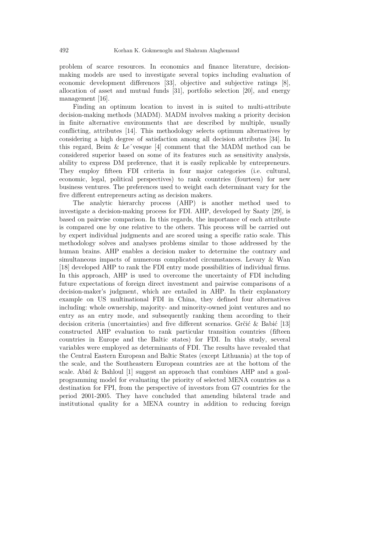problem of scarce resources. In economics and finance literature, decisionmaking models are used to investigate several topics including evaluation of economic development differences [33], objective and subjective ratings [8], allocation of asset and mutual funds [31], portfolio selection [20], and energy management [16].

Finding an optimum location to invest in is suited to multi-attribute decision-making methods (MADM). MADM involves making a priority decision in finite alternative environments that are described by multiple, usually conflicting, attributes [14]. This methodology selects optimum alternatives by considering a high degree of satisfaction among all decision attributes [34]. In this regard, Beim & Le<sup> $\prime$ </sup> vesque [4] comment that the MADM method can be considered superior based on some of its features such as sensitivity analysis, ability to express DM preference, that it is easily replicable by entrepreneurs. They employ fifteen FDI criteria in four major categories (i.e. cultural, economic, legal, political perspectives) to rank countries (fourteen) for new business ventures. The preferences used to weight each determinant vary for the five different entrepreneurs acting as decision makers.

The analytic hierarchy process (AHP) is another method used to investigate a decision-making process for FDI. AHP, developed by Saaty [29], is based on pairwise comparison. In this regards, the importance of each attribute is compared one by one relative to the others. This process will be carried out by expert individual judgments and are scored using a specific ratio scale. This methodology solves and analyses problems similar to those addressed by the human brains. AHP enables a decision maker to determine the contrary and simultaneous impacts of numerous complicated circumstances. Levary & Wan [18] developed AHP to rank the FDI entry mode possibilities of individual firms. In this approach, AHP is used to overcome the uncertainty of FDI including future expectations of foreign direct investment and pairwise comparisons of a decision-maker's judgment, which are entailed in AHP. In their explanatory example on US multinational FDI in China, they defined four alternatives including: whole ownership, majority- and minority-owned joint ventures and no entry as an entry mode, and subsequently ranking them according to their decision criteria (uncertainties) and five different scenarios. Grčić & Babić [13] constructed AHP evaluation to rank particular transition countries (fifteen countries in Europe and the Baltic states) for FDI. In this study, several variables were employed as determinants of FDI. The results have revealed that the Central Eastern European and Baltic States (except Lithuania) at the top of the scale, and the Southeastern European countries are at the bottom of the scale. Abid & Bahloul [1] suggest an approach that combines AHP and a goalprogramming model for evaluating the priority of selected MENA countries as a destination for FPI, from the perspective of investors from G7 countries for the period 2001-2005. They have concluded that amending bilateral trade and institutional quality for a MENA country in addition to reducing foreign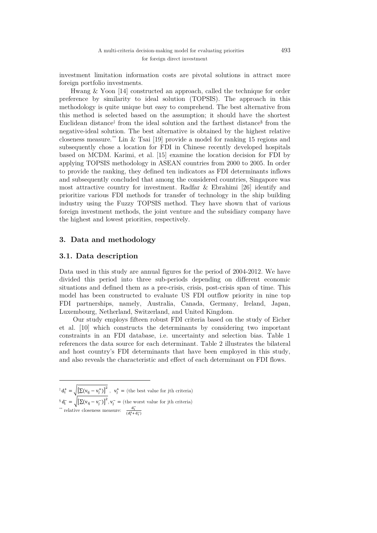investment limitation information costs are pivotal solutions in attract more foreign portfolio investments.

Hwang & Yoon [14] constructed an approach, called the technique for order preference by similarity to ideal solution (TOPSIS). The approach in this methodology is quite unique but easy to comprehend. The best alternative from this method is selected based on the assumption; it should have the shortest Euclidean distanc[e‡](#page-4-0) from the ideal solution and the farthest distance[§](#page-4-1) from the negative-ideal solution. The best alternative is obtained by the highest relative closeness measure.[\\*\\*](#page-4-2) Lin & Tsai [19] provide a model for ranking 15 regions and subsequently chose a location for FDI in Chinese recently developed hospitals based on MCDM. Karimi, et al. [15] examine the location decision for FDI by applying TOPSIS methodology in ASEAN countries from 2000 to 2005. In order to provide the ranking, they defined ten indicators as FDI determinants inflows and subsequently concluded that among the considered countries, Singapore was most attractive country for investment. Radfar & Ebrahimi [26] identify and prioritize various FDI methods for transfer of technology in the ship building industry using the Fuzzy TOPSIS method. They have shown that of various foreign investment methods, the joint venture and the subsidiary company have the highest and lowest priorities, respectively.

## **3. Data and methodology**

## **3.1. Data description**

 $\overline{a}$ 

Data used in this study are annual figures for the period of 2004-2012. We have divided this period into three sub-periods depending on different economic situations and defined them as a pre-crisis, crisis, post-crisis span of time. This model has been constructed to evaluate US FDI outflow priority in nine top FDI partnerships, namely, Australia, Canada, Germany, Ireland, Japan, Luxembourg, Netherland, Switzerland, and United Kingdom.

Our study employs fifteen robust FDI criteria based on the study of Eicher et al. [10] which constructs the determinants by considering two important constraints in an FDI database, i.e. uncertainty and selection bias. Table 1 references the data source for each determinant. Table 2 illustrates the bilateral and host country's FDI determinants that have been employed in this study, and also reveals the characteristic and effect of each determinant on FDI flows.

<span id="page-4-2"></span><span id="page-4-1"></span><span id="page-4-0"></span> $\phi^{\dagger} d_i^+ = \sqrt{\left[\sum (v_{ij} - v_j^+)\right]^2}$ ,  $v_j^+ =$  (the best value for jth criteria)  $\mathbf{d}_i = \sqrt{\left[\sum (v_{ij} - v_j^{\dagger})\right]^2}, v_j^{\dagger} = (\text{the worst value for jth criteria})$ \*\* relative closeness measure:  $\frac{d_i}{dt}$  $(d_1^+ + d_1^-)$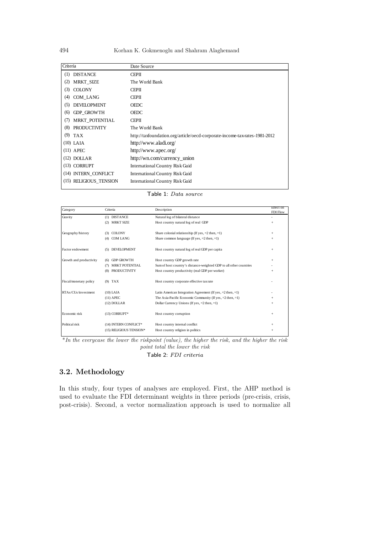#### 494 Korhan K. Gokmenoglu and Shahram Alaghemand

| Criteria |                        | Date Source                                                                |
|----------|------------------------|----------------------------------------------------------------------------|
| (1)      | <b>DISTANCE</b>        | <b>CEPII</b>                                                               |
| (2)      | <b>MRKT SIZE</b>       | The World Bank                                                             |
| (3)      | <b>COLONY</b>          | <b>CEPII</b>                                                               |
| (4)      | COM LANG               | <b>CEPII</b>                                                               |
| (5)      | <b>DEVELOPMENT</b>     | <b>OEDC</b>                                                                |
| (6)      | <b>GDP GROWTH</b>      | OEDC                                                                       |
| (7)      | MRKT POTENTIAL         | <b>CEPII</b>                                                               |
| (8)      | <b>PRODUCTIVITY</b>    | The World Bank                                                             |
| (9)      | TAX                    | http://taxfoundation.org/article/oecd-corporate-income-tax-rates-1981-2012 |
|          | $(10)$ LAIA            | http://www.aladi.org/                                                      |
|          | $(11)$ APEC            | http://www.apec.org/                                                       |
|          | $(12)$ DOLLAR          | http://wn.com/currency_union                                               |
|          | (13) CORRUPT           | <b>International Country Risk Guid</b>                                     |
|          | (14) INTERN CONFLICT   | <b>International Country Risk Guid</b>                                     |
|          | (15) RELIGIOUS TENSION | International Country Risk Guid                                            |

Table 1: Data source

| Category                | Criteria                     | Description                                                        | <b>Effect</b> on<br>FDI Flow |
|-------------------------|------------------------------|--------------------------------------------------------------------|------------------------------|
| Gravity                 | <b>DISTANCE</b><br>(1)       | Natural log of bilateral distance                                  |                              |
|                         | <b>MRKT SIZE</b><br>(2)      | Host country natural log of real GDP                               | $+$                          |
| Geography/history       | <b>COLONY</b><br>(3)         | Share colonial relationship (If yes, $=2$ then, $=1$ )             | $+$                          |
|                         | <b>COM LANG</b><br>(4)       | Share common language (If yes, $=2$ then, $=1$ )                   | $+$                          |
| Factor endowment        | <b>DEVELOPMENT</b><br>(5)    | Host country natural log of real GDP per capital                   | $+$                          |
| Growth and productivity | <b>GDP GROWTH</b><br>6       | Host country GDP growth rate                                       | $+$                          |
|                         | <b>MRKT POTENTIAL</b><br>(7) | Sum of host country's distance-weighted GDP to all other countries |                              |
|                         | <b>PRODUCTIVITY</b><br>(8)   | Host country productivity (real GDP per worker)                    | $^{+}$                       |
| Fiscal/monetary policy  | TAX<br>(9)                   | Host country corporate effective tax rate                          |                              |
| RTAs/CUs/investment     | $(10)$ LAIA                  | Latin American Integration Agreement (If yes, =2 then, =1)         |                              |
|                         | $(11)$ APEC                  | The Asia-Pacific Economic Community (If yes, $=2$ then, $=1$ )     | $^{+}$                       |
|                         | $(12)$ DOLLAR                | Dollar Currency Unions (If yes, =2 then, =1)                       | $+$                          |
| Economic risk           | (13) CORRUPT*                | Host country corruption                                            | $+$                          |
| Political risk          | (14) INTERN CONFLICT*        | Host country internal conflict                                     | $+$                          |
|                         | (15) RELIGIOUS TENSION*      | Host country religion in politics                                  | $^{+}$                       |

\**In the everycase the lower the riskpoint (value), the higher the risk, and the higher the risk point total the lower the risk*

Table 2: FDI criteria

## **3.2. Methodology**

In this study, four types of analyses are employed. First, the AHP method is used to evaluate the FDI determinant weights in three periods (pre-crisis, crisis, post-crisis). Second, a vector normalization approach is used to normalize all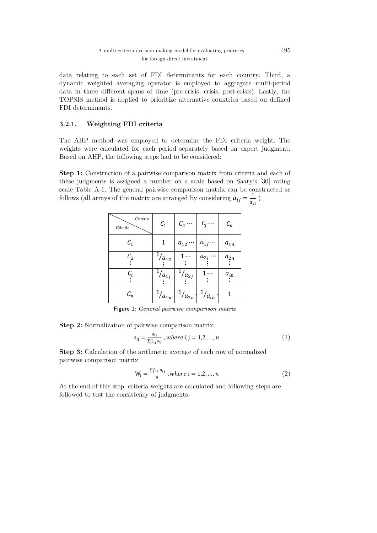data relating to each set of FDI determinants for each country. Third, a dynamic weighted averaging operator is employed to aggregate multi-period data in three different spans of time (pre-crisis, crisis, post-crisis). Lastly, the TOPSIS method is applied to prioritize alternative countries based on defined FDI determinants.

#### **3.2.1. Weighting FDI criteria**

The AHP method was employed to determine the FDI criteria weight. The weights were calculated for each period separately based on expert judgment. Based on AHP, the following steps had to be considered:

**Step 1:** Construction of a pairwise comparison matrix from criteria and each of these judgments is assigned a number on a scale based on Saaty's [30] rating scale Table A-1. The general pairwise comparison matrix can be constructed as follows (all arrays of the matrix are arranged by considering  $a_{ij} = \frac{1}{a_{ji}}$ )

| Criteria<br>Criteria | $C_1$            | $\mathcal{C}_2 \cdots$ | $\mathcal{C}_j$  | $\mathcal{C}_n$  |
|----------------------|------------------|------------------------|------------------|------------------|
| $\mathcal{C}_1$      |                  | $a_{12}$ .             | $a_{1j}$         | $a_{\mathrm in}$ |
| $\mathcal{C}_2$      | $^{1}/_{a_{12}}$ |                        | $a_{2j}$         | $a_{2n}$         |
| $\mathcal{C}_i$      | $a_{1j}$         | $a_{2j}$               |                  | $a_{in}$         |
| $\mathcal{C}_n$      | $1/a_{1n}$       | $^{1}/_{a_{2n}}$       | $^{1/_{a_{in}}}$ |                  |

Figure 1: General pairwise comparison matrix

**Step 2:** Normalization of pairwise comparison matrix:

$$
n_{ij} = \frac{a_{ij}}{\sum_{i=1}^{n} a_{ij}}, where i, j = 1, 2, ..., n
$$
 (1)

**Step 3:** Calculation of the arithmetic average of each row of normalized pairwise comparison matrix:

$$
W_{i} = \frac{\sum_{j=1}^{n} n_{ij}}{n}, where i = 1, 2, ..., n
$$
 (2)

At the end of this step, criteria weights are calculated and following steps are followed to test the consistency of judgments.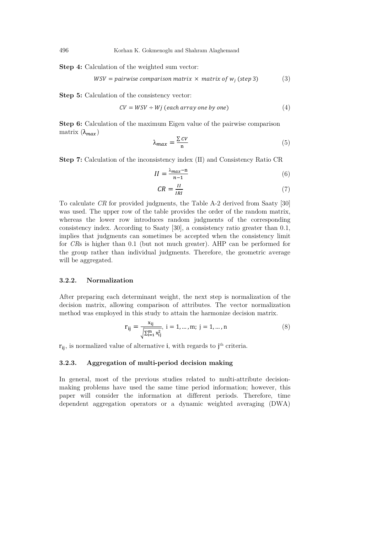**Step 4:** Calculation of the weighted sum vector:

$$
WSV = pairwise\ comparison\ matrix \times \ matrix\ of\ w_j\ (step\ 3)
$$
 (3)

**Step 5:** Calculation of the consistency vector:

$$
CV = WSV \div Wj \ (each \ array \ one \ by \ one)
$$
 (4)

**Step 6:** Calculation of the maximum Eigen value of the pairwise comparison matrix  $(\lambda_{max})$ 

$$
\lambda_{max} = \frac{\sum CV}{n} \tag{5}
$$

**Step 7:** Calculation of the inconsistency index (II) and Consistency Ratio CR

$$
II = \frac{\lambda_{max} - n}{n - 1} \tag{6}
$$

$$
CR = \frac{II}{IRI} \tag{7}
$$

To calculate *CR* for provided judgments, the Table A-2 derived from Saaty [30] was used. The upper row of the table provides the order of the random matrix, whereas the lower row introduces random judgments of the corresponding consistency index. According to Saaty [30], a consistency ratio greater than 0.1, implies that judgments can sometimes be accepted when the consistency limit for *CR*s is higher than 0.1 (but not much greater). AHP can be performed for the group rather than individual judgments. Therefore, the geometric average will be aggregated.

#### **3.2.2. Normalization**

After preparing each determinant weight, the next step is normalization of the decision matrix, allowing comparison of attributes. The vector normalization method was employed in this study to attain the harmonize decision matrix.

$$
r_{ij} = \frac{x_{ij}}{\sqrt{\sum_{i=1}^{m} x_{ij}^2}}, \ i = 1, ..., m; \ j = 1, ..., n
$$
 (8)

 $\mathbf{r}_{ij},$  is normalized value of alternative  $i,$  with regards to  $j^\text{th}$  criteria.

#### **3.2.3. Aggregation of multi-period decision making**

In general, most of the previous studies related to multi-attribute decisionmaking problems have used the same time period information; however, this paper will consider the information at different periods. Therefore, time dependent aggregation operators or a dynamic weighted averaging (DWA)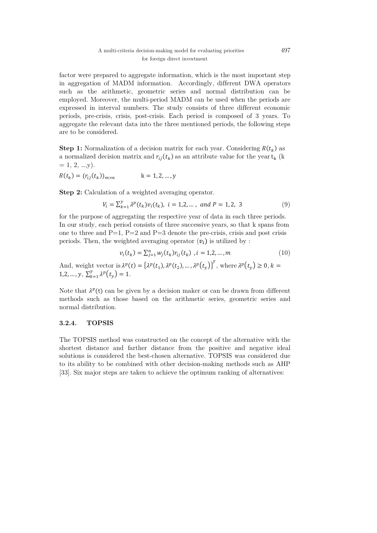#### A multi-criteria decision-making model for evaluating priorities 497 for foreign direct investment

factor were prepared to aggregate information, which is the most important step in aggregation of MADM information. Accordingly, different DWA operators such as the arithmetic, geometric series and normal distribution can be employed. Moreover, the multi-period MADM can be used when the periods are expressed in interval numbers. The study consists of three different economic periods, pre-crisis, crisis, post-crisis. Each period is composed of 3 years. To aggregate the relevant data into the three mentioned periods, the following steps are to be considered.

**Step 1:** Normalization of a decision matrix for each year. Considering  $R(t_k)$  as a normalized decision matrix and  $r_{ii}(t_k)$  as an attribute value for the yeart<sub>k</sub> (k  $= 1, 2, ..., v$ .

$$
R(t_k) = (r_{ij}(t_k))_{m \times n} \qquad k = 1, 2, ..., y
$$

**Step 2:** Calculation of a weighted averaging operator.

$$
V_i = \sum_{k=1}^{y} \lambda^p(t_k) v_i(t_k), \quad i = 1, 2, \dots, \text{ and } P = 1, 2, 3
$$
 (9)

for the purpose of aggregating the respective year of data in each three periods. In our study, each period consists of three successive years, so that k spans from one to three and  $P=1$ ,  $P=2$  and  $P=3$  denote the pre-crisis, crisis and post crisis periods. Then, the weighted averaging operator  $(v_i)$  is utilized by :

$$
v_i(t_k) = \sum_{j=1}^n w_j(t_k) r_{ij}(t_k) \, , i = 1, 2, \dots, m \tag{10}
$$

And, weight vector is  $\lambda^p(t) = \left\{ \lambda^p(t_1), \lambda^p(t_2), \dots, \lambda^p(t_y) \right\}^T$ , where  $\lambda^p(t_1) \geq 0, k =$  $1, 2, ..., y, \sum_{k=1}^{y} \lambda^{p}(t_{y}) = 1.$ 

Note that  $\lambda^p(t)$  can be given by a decision maker or can be drawn from different methods such as those based on the arithmetic series, geometric series and normal distribution.

#### **3.2.4. TOPSIS**

The TOPSIS method was constructed on the concept of the alternative with the shortest distance and farther distance from the positive and negative ideal solutions is considered the best-chosen alternative. TOPSIS was considered due to its ability to be combined with other decision-making methods such as AHP [33]. Six major steps are taken to achieve the optimum ranking of alternatives: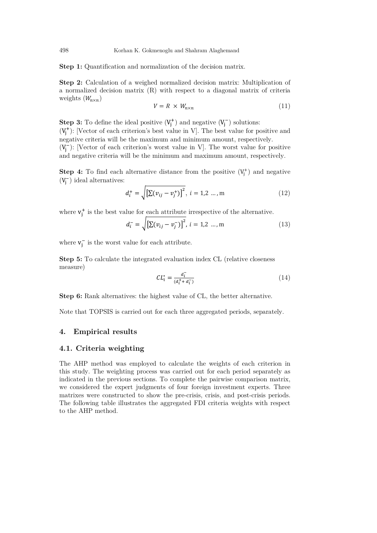**Step 1:** Quantification and normalization of the decision matrix.

**Step 2:** Calculation of a weighed normalized decision matrix: Multiplication of a normalized decision matrix (R) with respect to a diagonal matrix of criteria weights  $(W_{n \times n})$ 

$$
V = R \times W_{n \times n} \tag{11}
$$

**Step 3:** To define the ideal positive  $(V_j^+)$  and negative  $(V_j^-)$  solutions:  $(V_j^+)$ : [Vector of each criterion's best value in V]. The best value for positive and negative criteria will be the maximum and minimum amount, respectively. ( $V_j^-$ ): [Vector of each criterion's worst value in V]. The worst value for positive and negative criteria will be the minimum and maximum amount, respectively.

**Step 4:** To find each alternative distance from the positive  $(V_j^+)$  and negative  $(V_j^-)$ ideal alternatives:

$$
d_i^+ = \sqrt{\left[\sum (v_{ij} - v_j^+)\right]^2}, \ i = 1, 2 \dots, m \tag{12}
$$

where  $v_j^+$  is the best value for <u>each attribute</u> irrespective of the alternative.

$$
d_i^- = \sqrt{\left[\sum (v_{ij} - v_j^-)\right]^2}, \, i = 1, 2 \dots, m \tag{13}
$$

where  $v_j^-$  is the worst value for each attribute.

**Step 5:** To calculate the integrated evaluation index CL (relative closeness measure)

$$
CL_i^* = \frac{d_i^-}{(d_i^+ + d_i^-)}
$$
\n
$$
(14)
$$

**Step 6:** Rank alternatives: the highest value of CL, the better alternative.

Note that TOPSIS is carried out for each three aggregated periods, separately.

## **4. Empirical results**

## **4.1. Criteria weighting**

The AHP method was employed to calculate the weights of each criterion in this study. The weighting process was carried out for each period separately as indicated in the previous sections. To complete the pairwise comparison matrix, we considered the expert judgments of four foreign investment experts. Three matrixes were constructed to show the pre-crisis, crisis, and post-crisis periods. The following table illustrates the aggregated FDI criteria weights with respect to the AHP method.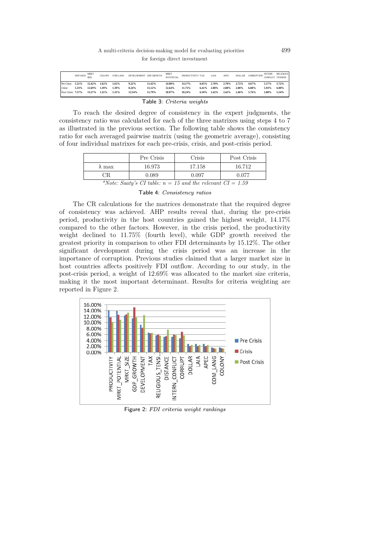#### A multi-criteria decision-making model for evaluating priorities 499 for foreign direct investment

|                    | DISTANCE MRKT |        |          | COLONY COM LANG | DEVELOPMENT GDP GROWTH |        | MRKT<br>POTENTIAL | PRODUCTIVITY TAX |       | LAIA  | APEC  |       | DOLLAR CORRUPTION | <b>INTERN</b><br>CONFLICT TENSION | <b>RELIGIOUS</b> |
|--------------------|---------------|--------|----------|-----------------|------------------------|--------|-------------------|------------------|-------|-------|-------|-------|-------------------|-----------------------------------|------------------|
| Pre Crisis:        | 5.21%         | 12.42% | 1.62%    | 1.62%           | 9.22%                  | 11.42% | 14.00%            | 14.17%           | 6.65% | 2.70% | 2.70% | 2.72% | 4.67%             | 5.17%                             | 5.72%            |
| Crisis:            | 5.33%         | 12.69% | $1.39\%$ | 1.39%           | 8.24%                  | 15.12% | 12.64%            | 11.75%           | 6.41% | 2.08% | 2.08% | 2.08% | 6.88%             | 5.93%                             | 6.00%            |
| Post Crisis: 7.57% |               | 13.27% | 1.31%    | 1.31%           | 12.54%                 | 11.79% | 10.97%            | 10.24%           | 6.50% | 2.42% | 2.42% | 2.46% | 5.76%             | 5.88%                             | 5.54%            |

|  | Table 3: Criteria weights |  |
|--|---------------------------|--|
|--|---------------------------|--|

To reach the desired degree of consistency in the expert judgments, the consistency ratio was calculated for each of the three matrixes using steps 4 to 7 as illustrated in the previous section. The following table shows the consistency ratio for each averaged pairwise matrix (using the geometric average), consisting of four individual matrixes for each pre-crisis, crisis, and post-crisis period.

|               | Pre Crisis                                                     | Crisis | Post Crisis |  |  |  |  |  |  |  |
|---------------|----------------------------------------------------------------|--------|-------------|--|--|--|--|--|--|--|
| $\lambda$ max | 16.973                                                         | 17.158 | 16.712      |  |  |  |  |  |  |  |
| CR.           | 0.089                                                          | 0.097  | 0.077       |  |  |  |  |  |  |  |
|               | *Note: Saaty's CI table: $n = 15$ and the relevant $CI = 1.59$ |        |             |  |  |  |  |  |  |  |

Table 4: Consistency ratios

The CR calculations for the matrices demonstrate that the required degree of consistency was achieved. AHP results reveal that, during the pre-crisis period, productivity in the host countries gained the highest weight, 14.17% compared to the other factors. However, in the crisis period, the productivity weight declined to 11.75% (fourth level), while GDP growth received the greatest priority in comparison to other FDI determinants by 15.12%. The other significant development during the crisis period was an increase in the importance of corruption. Previous studies claimed that a larger market size in host countries affects positively FDI outflow. According to our study, in the post-crisis period, a weight of 12.69% was allocated to the market size criteria, making it the most important determinant. Results for criteria weighting are reported in Figure 2.



Figure 2: FDI criteria weight rankings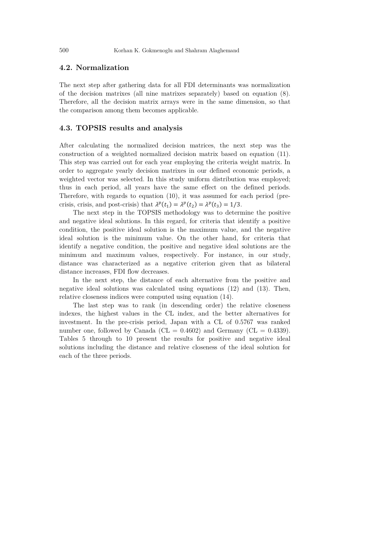#### **4.2. Normalization**

The next step after gathering data for all FDI determinants was normalization of the decision matrixes (all nine matrixes separately) based on equation (8). Therefore, all the decision matrix arrays were in the same dimension, so that the comparison among them becomes applicable.

## **4.3. TOPSIS results and analysis**

After calculating the normalized decision matrices, the next step was the construction of a weighted normalized decision matrix based on equation (11). This step was carried out for each year employing the criteria weight matrix. In order to aggregate yearly decision matrixes in our defined economic periods, a weighted vector was selected. In this study uniform distribution was employed; thus in each period, all years have the same effect on the defined periods. Therefore, with regards to equation (10), it was assumed for each period (precrisis, crisis, and post-crisis) that  $\lambda^p(t_1) = \lambda^p(t_2) = \lambda^p(t_3) = 1/3$ .

The next step in the TOPSIS methodology was to determine the positive and negative ideal solutions. In this regard, for criteria that identify a positive condition, the positive ideal solution is the maximum value, and the negative ideal solution is the minimum value. On the other hand, for criteria that identify a negative condition, the positive and negative ideal solutions are the minimum and maximum values, respectively. For instance, in our study, distance was characterized as a negative criterion given that as bilateral distance increases, FDI flow decreases.

In the next step, the distance of each alternative from the positive and negative ideal solutions was calculated using equations (12) and (13). Then, relative closeness indices were computed using equation (14).

The last step was to rank (in descending order) the relative closeness indexes, the highest values in the CL index, and the better alternatives for investment. In the pre-crisis period, Japan with a CL of 0.5767 was ranked number one, followed by Canada ( $CL = 0.4602$ ) and Germany ( $CL = 0.4339$ ). Tables 5 through to 10 present the results for positive and negative ideal solutions including the distance and relative closeness of the ideal solution for each of the three periods.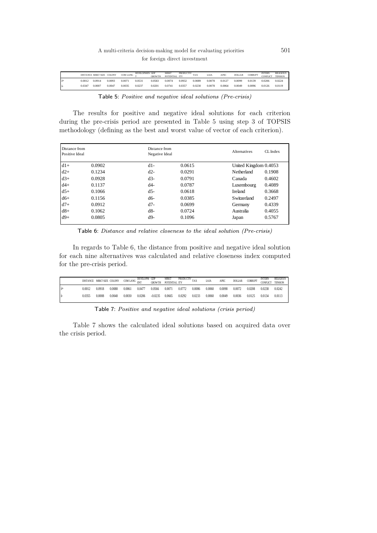## A multi-criteria decision-making model for evaluating priorities  $501$ for foreign direct investment

|        | DISTANCE MRKT SIZE COLONY |        | COMLANG | DEVELOPMEN GDP | <b>GROWTH</b> | <b>MRKT</b><br>POTENTIAL ITY | <b>PRODUCTIV</b> | TAX    | LAIA   | APEC   | <b>DOLLAR</b> | <b>CORRUPT</b> | <b>INTERN</b><br><b>CONFLICT</b> | RELIGIOUS<br><b>TENSION</b> |
|--------|---------------------------|--------|---------|----------------|---------------|------------------------------|------------------|--------|--------|--------|---------------|----------------|----------------------------------|-----------------------------|
| 0.0012 | 0.0914                    | 0.0093 | 0.0071  | 0.0531         | 0.0583        | 0.0074                       | 0.0932           | 0.0089 | 0.0078 | 0.0127 | 0.0099        | 0.0139         | 0.0206                           | 0.0224                      |
| 0.0347 | 0.0007                    | 0.0047 | 0.0035  | 0.0237         | 0.0201        | 0.0741                       | 0.0357           | 0.0230 | 0.0078 | 0.0064 | 0.0049        | 0.0096         | 0.0126                           | 0.0119                      |

Table 5: Positive and negative ideal solutions (Pre-crisis)

The results for positive and negative ideal solutions for each criterion during the pre-crisis period are presented in Table 5 using step 3 of TOPSIS methodology (defining as the best and worst value of vector of each criterion).

| Distance from<br>Positive Ideal |        | Distance from<br>Negative Ideal |        | <b>Alternatives</b>   | CL Index |
|---------------------------------|--------|---------------------------------|--------|-----------------------|----------|
| $d1+$                           | 0.0902 | $d1-$                           | 0.0615 | United Kingdom 0.4053 |          |
| $d2+$                           | 0.1234 | $d2-$                           | 0.0291 | Netherland            | 0.1908   |
| $d3+$                           | 0.0928 | $d3-$                           | 0.0791 | Canada                | 0.4602   |
| $d4+$                           | 0.1137 | $d4-$                           | 0.0787 | Luxembourg            | 0.4089   |
| $d5+$                           | 0.1066 | $d5-$                           | 0.0618 | <b>Ireland</b>        | 0.3668   |
| $d6+$                           | 0.1156 | $d6-$                           | 0.0385 | Switzerland           | 0.2497   |
| $d7+$                           | 0.0912 | $d7-$                           | 0.0699 | Germany               | 0.4339   |
| $d8+$                           | 0.1062 | $d8-$                           | 0.0724 | Australia             | 0.4055   |
| $d9+$                           | 0.0805 | $d9-$                           | 0.1096 | Japan                 | 0.5767   |

Table 6: Distance and relative closeness to the ideal solution (Pre-crisis)

In regards to Table 6, the distance from positive and negative ideal solution for each nine alternatives was calculated and relative closeness index computed for the pre-crisis period.

|    |        |        |        | $\text{DISTANCE} \quad \text{MRKT SIZE} \quad \text{COLONY} \qquad \text{COM LANG} \quad \overbrace{\text{ENT}}$ | DEVELOPM GDP | <b>GROWTH</b> | MRKT<br>POTENTIAL ITY | PRODUCTIV | TAX    | LAIA   | APEC   | DOLLAR | CORRUPT | <b>INTERN</b><br><b>CONFLICT</b> | RELIGIOUS<br><b>TENSION</b> |
|----|--------|--------|--------|------------------------------------------------------------------------------------------------------------------|--------------|---------------|-----------------------|-----------|--------|--------|--------|--------|---------|----------------------------------|-----------------------------|
| Īн | 0.0012 | 0.0918 | 0.0080 | 0.0061                                                                                                           | 0.0477       | 0.0566        | 0.0071                | 0.0772    | 0.0086 | 0.0060 | 0.0098 | 0.0072 | 0.0208  | 0.0238                           | 0.0242                      |
|    | 0.0355 | 0.0008 | 0.0040 | 0.0030                                                                                                           | 0.0206       | $-0.0235$     | 0.0665                | 0.0292    | 0.0233 | 0.0060 | 0.0049 | 0.0036 | 0.0125  | 0.0134                           | 0.0113                      |

Table 7: Positive and negative ideal solutions (crisis period)

Table 7 shows the calculated ideal solutions based on acquired data over the crisis period.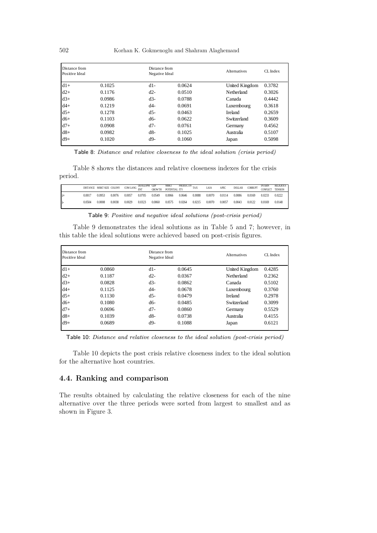| Distance from<br>Positive Ideal |        | Distance from<br>Negative Ideal |        | Alternatives   | CL Index |
|---------------------------------|--------|---------------------------------|--------|----------------|----------|
| $d1+$                           | 0.1025 | $d1-$                           | 0.0624 | United Kingdom | 0.3782   |
| $d2+$                           | 0.1176 | $d2-$                           | 0.0510 | Netherland     | 0.3026   |
| $d3+$                           | 0.0986 | $d3-$                           | 0.0788 | Canada         | 0.4442   |
| $d4+$                           | 0.1219 | $d4-$                           | 0.0691 | Luxembourg     | 0.3618   |
| $d5+$                           | 0.1278 | $d5-$                           | 0.0463 | <b>Ireland</b> | 0.2659   |
| $d6+$                           | 0.1103 | $d6-$                           | 0.0622 | Switzerland    | 0.3609   |
| $d7+$                           | 0.0908 | $d7-$                           | 0.0761 | Germany        | 0.4562   |
| $d8+$                           | 0.0982 | $d8-$                           | 0.1025 | Australia      | 0.5107   |
| $d9+$                           | 0.1020 | d9-                             | 0.1060 | Japan          | 0.5098   |

Table 8: Distance and relative closeness to the ideal solution (crisis period)

Table 8 shows the distances and relative closeness indexes for the crisis period.

|      |        | DISTANCE MRKT SIZE COLONY |        |              | DEVELOPM GDP |               | MRKT          | PRODUCTIV | TAX    | LAIA   | APEC   | DOLLAR | <b>CORRUPT</b> | <b>INTERN</b> | <b>RELIGIOUS</b> |
|------|--------|---------------------------|--------|--------------|--------------|---------------|---------------|-----------|--------|--------|--------|--------|----------------|---------------|------------------|
|      |        |                           |        | COM LANG ENT |              | <b>GROWTH</b> | POTENTIAL ITY |           |        |        |        |        |                | CONFLICT      | <b>TENSION</b>   |
| $1+$ | 0.0017 | 0.0953                    | 0.0076 | 0.0057       | 0.0705       | 0.0549        | 0.0066        | 0.0646    | 0.0088 | 0.0070 | 0.0114 | 0.0086 | 0.0169         | 0.0233        | 0.0222           |
|      | 0.0504 | 0.0008                    | 0.0038 | 0.0029       | 0.0323       | 0.0060        | 0.0575        | 0.0264    | 0.0215 | 0.0070 | 0.0057 | 0.0043 | 0.0122         | 0.0169        | 0.0148           |

Table 9: Positive and negative ideal solutions (post-crisis period)

Table 9 demonstrates the ideal solutions as in Table 5 and 7; however, in this table the ideal solutions were achieved based on post-crisis figures.

| Distance from<br>Positive Ideal |        | Distance from<br>Negative Ideal |        | <b>Alternatives</b> | CL Index |
|---------------------------------|--------|---------------------------------|--------|---------------------|----------|
| $d1+$                           | 0.0860 | $d1-$                           | 0.0645 | United Kingdom      | 0.4285   |
| $d2+$                           | 0.1187 | $d2-$                           | 0.0367 | Netherland          | 0.2362   |
| $d3+$                           | 0.0828 | $d3-$                           | 0.0862 | Canada              | 0.5102   |
| $d4+$                           | 0.1125 | $d4-$                           | 0.0678 | Luxembourg          | 0.3760   |
| $d5+$                           | 0.1130 | $d5-$                           | 0.0479 | Ireland             | 0.2978   |
| $d6+$                           | 0.1080 | d6-                             | 0.0485 | Switzerland         | 0.3099   |
| $d7+$                           | 0.0696 | $d7-$                           | 0.0860 | Germany             | 0.5529   |
| $d8+$                           | 0.1039 | $d8-$                           | 0.0738 | Australia           | 0.4155   |
| $d9+$                           | 0.0689 | d9-                             | 0.1088 | Japan               | 0.6121   |

Table 10: Distance and relative closeness to the ideal solution (post-crisis period)

Table 10 depicts the post crisis relative closeness index to the ideal solution for the alternative host countries.

## **4.4. Ranking and comparison**

The results obtained by calculating the relative closeness for each of the nine alternative over the three periods were sorted from largest to smallest and as shown in Figure 3.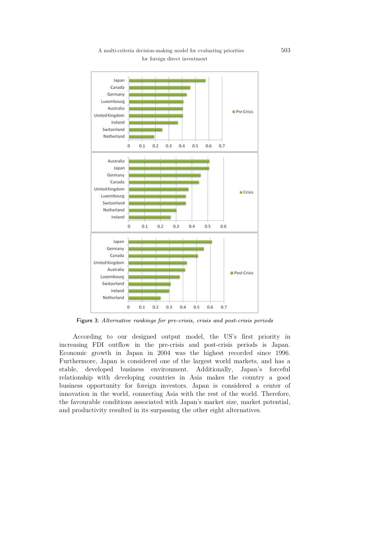

Figure 3: Alternative rankings for pre-crisis, crisis and post-crisis periods

According to our designed output model, the US's first priority in increasing FDI outflow in the pre-crisis and post-crisis periods is Japan. Economic growth in Japan in 2004 was the highest recorded since 1996. Furthermore, Japan is considered one of the largest world markets, and has a stable, developed business environment. Additionally, Japan's forceful relationship with developing countries in Asia makes the country a good business opportunity for foreign investors. Japan is considered a center of innovation in the world, connecting Asia with the rest of the world. Therefore, the favourable conditions associated with Japan's market size, market potential, and productivity resulted in its surpassing the other eight alternatives.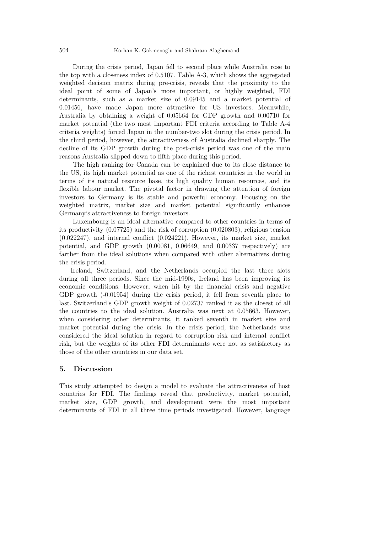During the crisis period, Japan fell to second place while Australia rose to the top with a closeness index of 0.5107. Table A-3, which shows the aggregated weighted decision matrix during pre-crisis, reveals that the proximity to the ideal point of some of Japan's more important, or highly weighted, FDI determinants, such as a market size of 0.09145 and a market potential of 0.01456, have made Japan more attractive for US investors. Meanwhile, Australia by obtaining a weight of 0.05664 for GDP growth and 0.00710 for market potential (the two most important FDI criteria according to Table A-4 criteria weights) forced Japan in the number-two slot during the crisis period. In the third period, however, the attractiveness of Australia declined sharply. The decline of its GDP growth during the post-crisis period was one of the main reasons Australia slipped down to fifth place during this period.

The high ranking for Canada can be explained due to its close distance to the US, its high market potential as one of the richest countries in the world in terms of its natural resource base, its high quality human resources, and its flexible labour market. The pivotal factor in drawing the attention of foreign investors to Germany is its stable and powerful economy. Focusing on the weighted matrix, market size and market potential significantly enhances Germany's attractiveness to foreign investors.

Luxembourg is an ideal alternative compared to other countries in terms of its productivity (0.07725) and the risk of corruption (0.020803), religious tension (0.022247), and internal conflict (0.024221). However, its market size, market potential, and GDP growth (0.00081, 0.06649, and 0.00337 respectively) are farther from the ideal solutions when compared with other alternatives during the crisis period.

Ireland, Switzerland, and the Netherlands occupied the last three slots during all three periods. Since the mid-1990s, Ireland has been improving its economic conditions. However, when hit by the financial crisis and negative GDP growth (-0.01954) during the crisis period, it fell from seventh place to last. Switzerland's GDP growth weight of 0.02737 ranked it as the closest of all the countries to the ideal solution. Australia was next at 0.05663. However, when considering other determinants, it ranked seventh in market size and market potential during the crisis. In the crisis period, the Netherlands was considered the ideal solution in regard to corruption risk and internal conflict risk, but the weights of its other FDI determinants were not as satisfactory as those of the other countries in our data set.

#### **5. Discussion**

This study attempted to design a model to evaluate the attractiveness of host countries for FDI. The findings reveal that productivity, market potential, market size, GDP growth, and development were the most important determinants of FDI in all three time periods investigated. However, language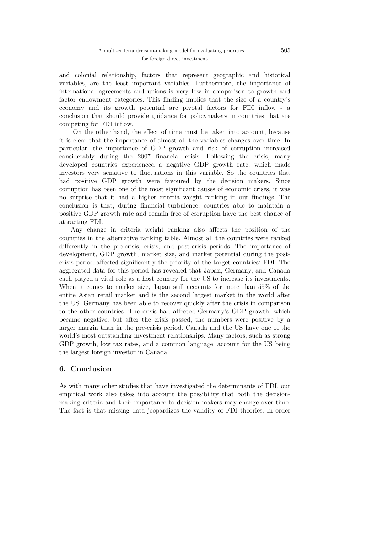and colonial relationship, factors that represent geographic and historical variables, are the least important variables. Furthermore, the importance of international agreements and unions is very low in comparison to growth and factor endowment categories. This finding implies that the size of a country's economy and its growth potential are pivotal factors for FDI inflow - a conclusion that should provide guidance for policymakers in countries that are competing for FDI inflow.

On the other hand, the effect of time must be taken into account, because it is clear that the importance of almost all the variables changes over time. In particular, the importance of GDP growth and risk of corruption increased considerably during the 2007 financial crisis. Following the crisis, many developed countries experienced a negative GDP growth rate, which made investors very sensitive to fluctuations in this variable. So the countries that had positive GDP growth were favoured by the decision makers. Since corruption has been one of the most significant causes of economic crises, it was no surprise that it had a higher criteria weight ranking in our findings. The conclusion is that, during financial turbulence, countries able to maintain a positive GDP growth rate and remain free of corruption have the best chance of attracting FDI.

Any change in criteria weight ranking also affects the position of the countries in the alternative ranking table. Almost all the countries were ranked differently in the pre-crisis, crisis, and post-crisis periods. The importance of development, GDP growth, market size, and market potential during the postcrisis period affected significantly the priority of the target countries' FDI. The aggregated data for this period has revealed that Japan, Germany, and Canada each played a vital role as a host country for the US to increase its investments. When it comes to market size, Japan still accounts for more than 55% of the entire Asian retail market and is the second largest market in the world after the US. Germany has been able to recover quickly after the crisis in comparison to the other countries. The crisis had affected Germany's GDP growth, which became negative, but after the crisis passed, the numbers were positive by a larger margin than in the pre-crisis period. Canada and the US have one of the world's most outstanding investment relationships. Many factors, such as strong GDP growth, low tax rates, and a common language, account for the US being the largest foreign investor in Canada.

## **6. Conclusion**

As with many other studies that have investigated the determinants of FDI, our empirical work also takes into account the possibility that both the decisionmaking criteria and their importance to decision makers may change over time. The fact is that missing data jeopardizes the validity of FDI theories. In order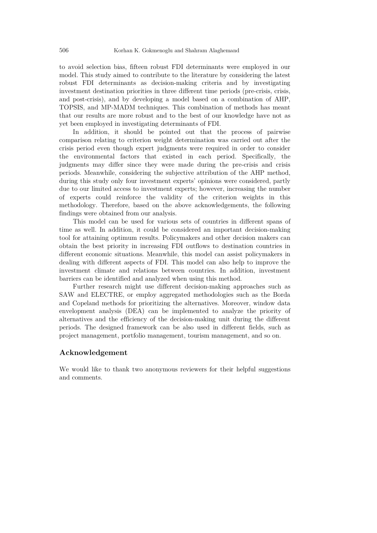to avoid selection bias, fifteen robust FDI determinants were employed in our model. This study aimed to contribute to the literature by considering the latest robust FDI determinants as decision-making criteria and by investigating investment destination priorities in three different time periods (pre-crisis, crisis, and post-crisis), and by developing a model based on a combination of AHP, TOPSIS, and MP-MADM techniques. This combination of methods has meant that our results are more robust and to the best of our knowledge have not as yet been employed in investigating determinants of FDI.

In addition, it should be pointed out that the process of pairwise comparison relating to criterion weight determination was carried out after the crisis period even though expert judgments were required in order to consider the environmental factors that existed in each period. Specifically, the judgments may differ since they were made during the pre-crisis and crisis periods. Meanwhile, considering the subjective attribution of the AHP method, during this study only four investment experts' opinions were considered, partly due to our limited access to investment experts; however, increasing the number of experts could reinforce the validity of the criterion weights in this methodology. Therefore, based on the above acknowledgements, the following findings were obtained from our analysis.

This model can be used for various sets of countries in different spans of time as well. In addition, it could be considered an important decision-making tool for attaining optimum results. Policymakers and other decision makers can obtain the best priority in increasing FDI outflows to destination countries in different economic situations. Meanwhile, this model can assist policymakers in dealing with different aspects of FDI. This model can also help to improve the investment climate and relations between countries. In addition, investment barriers can be identified and analyzed when using this method.

Further research might use different decision-making approaches such as SAW and ELECTRE, or employ aggregated methodologies such as the Borda and Copeland methods for prioritizing the alternatives. Moreover, window data envelopment analysis (DEA) can be implemented to analyze the priority of alternatives and the efficiency of the decision-making unit during the different periods. The designed framework can be also used in different fields, such as project management, portfolio management, tourism management, and so on.

#### **Acknowledgement**

We would like to thank two anonymous reviewers for their helpful suggestions and comments.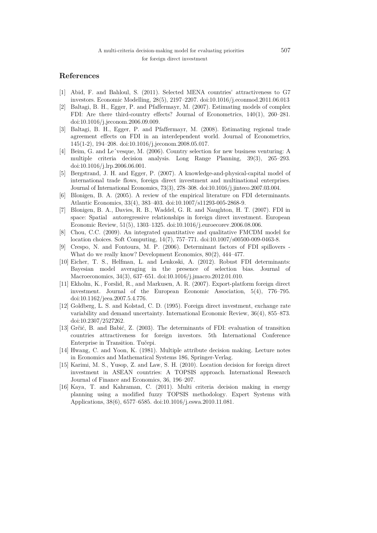#### **References**

- [1] Abid, F. and Bahloul, S. (2011). Selected MENA countries' attractiveness to G7 investors. Economic Modelling, 28(5), 2197–2207. doi:10.1016/j.econmod.2011.06.013
- [2] Baltagi, B. H., Egger, P. and Pfaffermayr, M. (2007). Estimating models of complex FDI: Are there third-country effects? Journal of Econometrics, 140(1), 260–281. doi:10.1016/j.jeconom.2006.09.009.
- [3] Baltagi, B. H., Egger, P. and Pfaffermayr, M. (2008). Estimating regional trade agreement effects on FDI in an interdependent world. Journal of Econometrics, 145(1-2), 194–208. doi:10.1016/j.jeconom.2008.05.017.
- [4] Beim, G. and Le´vesque, M. (2006). Country selection for new business venturing: A multiple criteria decision analysis. Long Range Planning, 39(3), 265–293. doi:10.1016/j.lrp.2006.06.001.
- [5] Bergstrand, J. H. and Egger, P. (2007). A knowledge-and-physical-capital model of international trade flows, foreign direct investment and multinational enterprises. Journal of International Economics, 73(3), 278–308. doi:10.1016/j.jinteco.2007.03.004.
- [6] Blonigen, B. A. (2005). A review of the empirical literature on FDI determinants. Atlantic Economics, 33(4), 383–403. doi:10.1007/s11293-005-2868-9.
- [7] Blonigen, B. A., Davies, R. B., Waddel, G. R. and Naughton, H. T. (2007). FDI in space: Spatial autoregressive relationships in foreign direct investment. European Economic Review, 51(5), 1303–1325. doi:10.1016/j.euroecorev.2006.08.006.
- [8] Chou, C.C. (2009). An integrated quantitative and qualitative FMCDM model for location choices. Soft Computing, 14(7), 757–771. doi:10.1007/s00500-009-0463-8.
- [9] Crespo, N. and Fontoura, M. P. (2006). Determinant factors of FDI spillovers What do we really know? Development Economics, 80(2), 444–477.
- [10] Eicher, T. S., Helfman, L. and Lenkoski, A. (2012). Robust FDI determinants: Bayesian model averaging in the presence of selection bias. Journal of Macroeconomics, 34(3), 637–651. doi:10.1016/j.jmacro.2012.01.010.
- [11] Ekholm, K., Forslid, R., and Markusen, A. R. (2007). Export-platform foreign direct investment. Journal of the European Economic Association, 5(4), 776–795. doi:10.1162/jeea.2007.5.4.776.
- [12] Goldberg, L. S. and Kolstad, C. D. (1995). Foreign direct investment, exchange rate variability and demand uncertainty. International Economic Review, 36(4), 855–873. doi:10.2307/2527262.
- [13] Grčić, B. and Babić, Z. (2003). The determinants of FDI: evaluation of transition countries attractiveness for foreign investors. 5th International Conference Enterprise in Transition. Tučepi.
- [14] Hwang, C. and Yoon, K. (1981). Multiple attribute decision making. Lecture notes in Economics and Mathematical Systems 186, Springer-Verlag.
- [15] Karimi, M. S., Yusop, Z. and Law, S. H. (2010). Location decision for foreign direct investment in ASEAN countries: A TOPSIS approach. International Research Journal of Finance and Economics, 36, 196–207.
- [16] Kaya, T. and Kahraman, C. (2011). Multi criteria decision making in energy planning using a modified fuzzy TOPSIS methodology. Expert Systems with Applications, 38(6), 6577–6585. doi:10.1016/j.eswa.2010.11.081.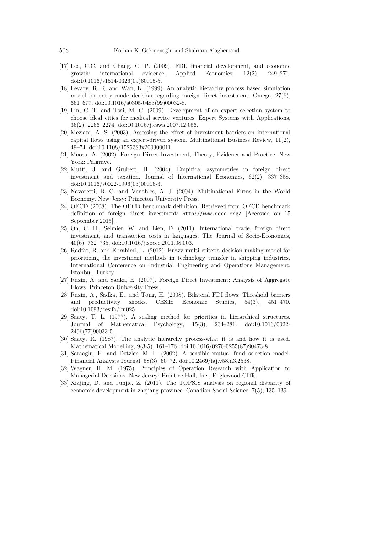- [17] Lee, C.C. and Chang, C. P. (2009). FDI, financial development, and economic growth: international evidence. Applied Economics, 12(2), 249–271. doi:10.1016/s1514-0326(09)60015-5.
- [18] Levary, R. R. and Wan, K. (1999). An analytic hierarchy process based simulation model for entry mode decision regarding foreign direct investment. Omega, 27(6), 661–677. doi:10.1016/s0305-0483(99)00032-8.
- [19] Lin, C. T. and Tsai, M. C. (2009). Development of an expert selection system to choose ideal cities for medical service ventures. Expert Systems with Applications, 36(2), 2266–2274. doi:10.1016/j.eswa.2007.12.056.
- [20] Meziani, A. S. (2003). Assessing the effect of investment barriers on international capital flows using an expert-driven system. Multinational Business Review,  $11(2)$ , 49–74. doi:10.1108/1525383x200300011.
- [21] Moosa, A. (2002). Foreign Direct Investment, Theory, Evidence and Practice. New York: Palgrave.
- [22] Mutti, J. and Grubert, H. (2004). Empirical asymmetries in foreign direct investment and taxation. Journal of International Economics, 62(2), 337–358. doi:10.1016/s0022-1996(03)00016-3.
- [23] Navaretti, B. G. and Venables, A. J. (2004). Multinational Firms in the World Economy. New Jersy: Princeton University Press.
- [24] OECD (2008). The OECD benchmark definition. Retrieved from OECD benchmark definition of foreign direct investment: <http://www.oecd.org/> [Accessed on 15 September 2015].
- [25] Oh, C. H., Selmier, W. and Lien, D. (2011). International trade, foreign direct investment, and transaction costs in languages. The Journal of Socio-Economics, 40(6), 732–735. doi:10.1016/j.socec.2011.08.003.
- [26] Radfar, R. and Ebrahimi, L. (2012). Fuzzy multi criteria decision making model for prioritizing the investment methods in technology transfer in shipping industries. International Conference on Industrial Engineering and Operations Management. Istanbul, Turkey.
- [27] Razin, A. and Sadka, E. (2007). Foreign Direct Investment: Analysis of Aggregate Flows. Princeton University Press.
- [28] Razin, A., Sadka, E., and Tong, H. (2008). Bilateral FDI flows: Threshold barriers and productivity shocks. CESifo Economic Studies, 54(3), 451–470. doi:10.1093/cesifo/ifn025.
- [29] Saaty, T. L. (1977). A scaling method for priorities in hierarchical structures. Journal of Mathematical Psychology, 15(3), 234–281. doi:10.1016/0022- 2496(77)90033-5.
- [30] Saaty, R. (1987). The analytic hierarchy process-what it is and how it is used. Mathematical Modelling, 9(3-5), 161–176. doi:10.1016/0270-0255(87)90473-8.
- [31] Saraoglu, H. and Detzler, M. L. (2002). A sensible mutual fund selection model. Financial Analysts Journal, 58(3), 60–72. doi:10.2469/faj.v58.n3.2538.
- [32] Wagner, H. M. (1975). Principles of Operation Research with Application to Managerial Decisions. New Jersey: Prentice-Hall, Inc., Englewood Cliffs.
- [33] Xiajing, D. and Junjie, Z. (2011). The TOPSIS analysis on regional disparity of economic development in zhejiang province. Canadian Social Science, 7(5), 135–139.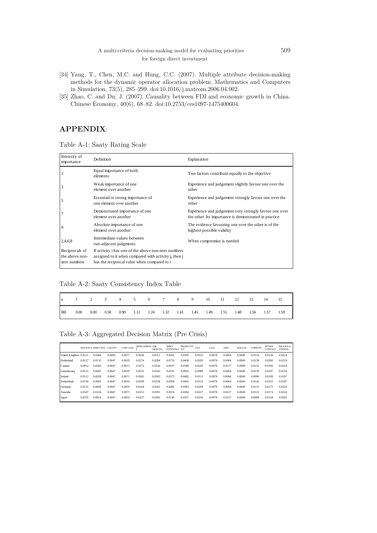#### A multi-criteria decision-making model for evaluating priorities 509 for foreign direct investment

- [34] Yang, T., Chen, M.C. and Hung, C.C. (2007). Multiple attribute decision-making methods for the dynamic operator allocation problem. Mathematics and Computers in Simulation, 73(5), 285–299. doi:10.1016/j.matcom.2006.04.002.
- [35] Zhao, C. and Du, J. (2007). Causality between FDI and economic growth in China. Chinese Economy, 40(6), 68–82. doi:10.2753/ces1097-1475400604.

# **APPENDIX**:

Table A-1: Saaty Rating Scale

| Intensity of<br>importance                       | Definition                                                                                                                                                 | Explanation                                                                                                     |
|--------------------------------------------------|------------------------------------------------------------------------------------------------------------------------------------------------------------|-----------------------------------------------------------------------------------------------------------------|
| 1                                                | Equal importance of both<br>elements                                                                                                                       | Two factors contribute equally to the objective                                                                 |
| 13                                               | Weak importance of one.<br>element over another                                                                                                            | Experience and judgement slightly favour one over the<br>other                                                  |
| l5                                               | Essential or strong importance of<br>one element over another                                                                                              | Experience and judgement strongly favour one over the<br>other                                                  |
| 17                                               | Demonstrated importance of one<br>element over another                                                                                                     | Experience and judgement very strongly favour one over<br>the other. Its importance is demonstrated in practice |
| 19                                               | Absolute importance of one<br>element over another                                                                                                         | The evidence favouring one over the other is of the<br>highest possible validity                                |
| 2,4,6,8                                          | Intermediate values between<br>two adjacent judgments                                                                                                      | When compromise is needed                                                                                       |
| Reciprocals of<br>the above non-<br>zero numbers | If activity i has one of the above non-zero numbers<br>assigned to it when compared with activity j, then j<br>has the reciprocal value when compared to i |                                                                                                                 |

Table A-2: Saaty Consistency Index Table

| IRI |  |  |  |  |  |  | 0.00 0.00 0.58 0.90 1.12 1.24 1.32 1.41 1.45 1.49 1.51 1.48 1.56 1.57 1.59 |  |
|-----|--|--|--|--|--|--|----------------------------------------------------------------------------|--|

Table A-3: Aggregated Decision Matrix (Pre Crisis)

|                       |        | DISTANCE MRKT SIZE COLONY |        | <b>COM LANG</b> | DEVELOPMEN GDP | <b>GROWTH</b> | <b>MRKT</b><br>POTENTIAL ITY | <b>PRODUCTIV</b> | TAX    | LAIA   | APEC   | <b>DOLLAR</b> | <b>CORRUPT</b> | <b>INTERN</b><br>CONFLICT | <b>RELIGIOUS</b><br><b>TENSION</b> |
|-----------------------|--------|---------------------------|--------|-----------------|----------------|---------------|------------------------------|------------------|--------|--------|--------|---------------|----------------|---------------------------|------------------------------------|
| United Kingdom 0.0121 |        | 0.0466                    | 0.0093 | 0.0071          | 0.0256         | 0.0311        | 0.0455                       | 0.0395           | 0.0152 | 0.0078 | 0.0064 | 0.0049        | 0.0124         | 0.0126                    | 0.0224                             |
| Netherland            | 0.0127 | 0.0135                    | 0.0047 | 0.0035          | 0.0274         | 0.0284        | 0.0735                       | 0.0408           | 0.0205 | 0.0078 | 0.0064 | 0.0049        | 0.0139         | 0.0206                    | 0.0119                             |
| Canada                | 0.0012 | 0.0266                    | 0.0047 | 0.0071          | 0.0272         | 0.0336        | 0.0107                       | 0.0389           | 0.0205 | 0.0078 | 0.0127 | 0.0099        | 0.0132         | 0.0189                    | 0.0224                             |
| Luxembourg            | 0.0131 | 0.0007                    | 0.0047 | 0.0035          | 0.0531         | 0.0543        | 0.0741                       | 0.0932           | 0.0089 | 0.0078 | 0.0064 | 0.0049        | 0.0139         | 0.0197                    | 0.0224                             |
| Ireland               | 0.0111 | 0.0038                    | 0.0047 | 0.0071          | 0.0301         | 0.0583        | 0.0373                       | 0.0482           | 0.0111 | 0.0078 | 0.0064 | 0.0049        | 0.0096         | 0.0189                    | 0.0187                             |
| Switzerland           | 0.0136 | 0.0065                    | 0.0047 | 0.0035          | 0.0289         | 0.0328        | 0.0500                       | 0.0402           | 0.0125 | 0.0078 | 0.0064 | 0.0049        | 0.0126         | 0.0193                    | 0.0187                             |
| Germany               | 0.0131 | 0.0608                    | 0.0047 | 0.0035          | 0.0244         | 0.0201        | 0.0485                       | 0.0383           | 0.0209 | 0.0078 | 0.0064 | 0.0049        | 0.0131         | 0.0175                    | 0.0224                             |
| Australia             | 0.0347 | 0.0156                    | 0.0047 | 0.0071          | 0.0253         | 0.0391        | 0.0074                       | 0.0384           | 0.0227 | 0.0078 | 0.0127 | 0.0049        | 0.0132         | 0.0174                    | 0.0224                             |
| Japan                 | 0.0235 | 0.0914                    | 0.0047 | 0.0035          | 0.0237         | 0.0202        | 0.0146                       | 0.0357           | 0.0230 | 0.0078 | 0.0127 | 0.0049        | 0.0098         | 0.0158                    | 0.0205                             |